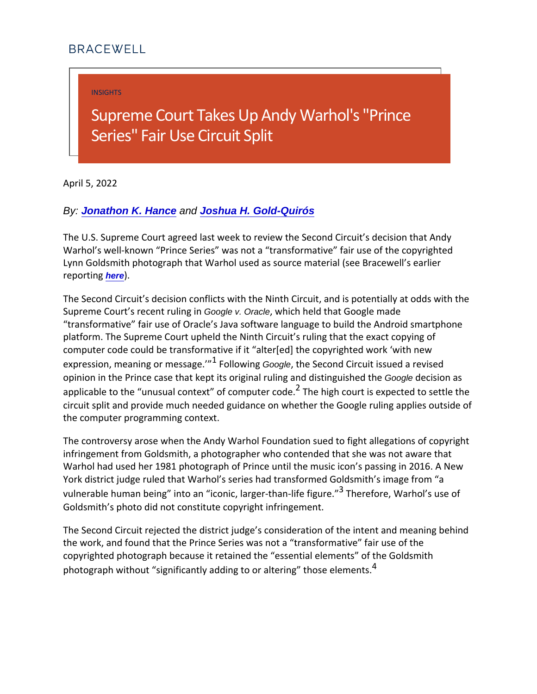INSIGHTS

## Supreme Court Takes Up Andy Series" Fair Use Circuit Split

April 5, 2022

By: [Jonathon K. Hance](https://bracewell.com/people/jonathon-k-hance) and [Joshua H. Gold-Quirós](https://bracewell.com/people/joshua-h-gold-quirós)

The U.S. Supreme Court agreed last week to review the Second Warhol s well-known Prince Series was not a transformative Lynn Goldsmith photograph that Warhol used as source materia reportioned.

The Second Circuit s decision conflicts with the Ninth Circuit, Supreme Court s reGooglavt. Oracle now himch held that Google made transformative fair use of Oracle s Java software language to platform. The Supreme Court upheld the Ninth Circuit s ruling computer code could be transformative if it alter[ed] the copyrol expression, meaning  $^1$   $\rm \Phi$  rolm  $\rm \Phi$  and  $\rm \Phi$  and  $\rm \Phi$  and  $\rm \Phi$  and  $\rm \Phi$  and  $\rm \Phi$  and  $\rm \Phi$ opinion in the Prince case that kept its origoioneld rulishigo mands dist applicable to the unusual conte $\overline{\mathbf{x}}$ the of iggoth compount period  $\mathbf{z}$  pected to settle the settle the settle the settle the settle the settle the settle the settle the settle settle settle settle settle settle s circuit split and provide much needed guidance on whether the the computer programming context.

The controversy arose when the Andy Warhol Foundation sued infringement from Goldsmith, a photographer who contended th Warhol had used her 1981 photograph of Prince until the music York district judge ruled that Warhol s series had transformed vulnerable human being into an iconiched ae hoerreth Maarhiole sligus been vulnerable human being into an Goldsmith s photo did not constitute copyright infringement.

The Second Circuit rejected the district judge s consideration the work, and found that the Prince Series was not a transform copyrighted photograph because it retained the essential elem photograph without significantly adding  $f$ o or altering those e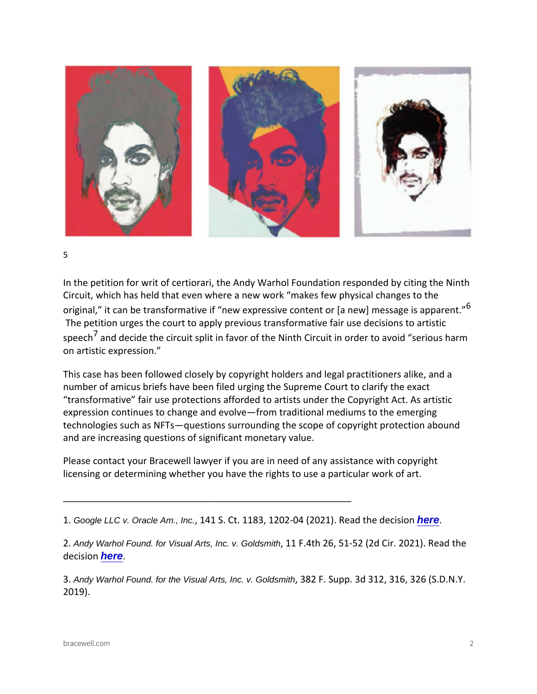5

In the petition for writ of certiorari, the Andy Warhol Foundation Circuit, which has held that even where a new work makes few original, it can be transformative if new expressive  $\hat{\mathfrak{k}}$ ontent o The petition urges the court to apply previous transformative spee<sup>7</sup> cand decide the circuit split in favor of the Ninth Circuit i on artistic expression.

This case has been followed closely by copyright holders and I number of amicus briefs have been filed urging the Supreme Co transformative fair use protections afforded to artists under t expression continues to change and evolve from traditional me technologies such as NFTs questions surrounding the scope of and are increasing questions of significant monetary value.

Please contact your Bracewell lawyer if you are in need of any licensing or determining whether you have the rights to use a particular work of a

\_\_\_\_\_\_\_\_\_\_\_\_\_\_\_\_\_\_\_\_\_\_\_\_\_\_\_\_\_\_\_\_\_\_\_\_\_\_\_\_\_\_\_\_\_\_\_\_\_\_\_\_\_\_\_

1. Google LLC v. Oracle Am., Inc., 141 S. Ct. 1183, 1202-04 (20221.). Read the

2 Andy Warhol Found. for Visual Arts, Inc. v. Goldsmith, 11 F. 4th 26, 51-52 (2d Cir. 2021 decisheoren.

3 Andy Warhol Found. for the Visual Arts, Inc. v. Goldsmith, 382 F. Supp. 3d 312, 316, 326 2019).